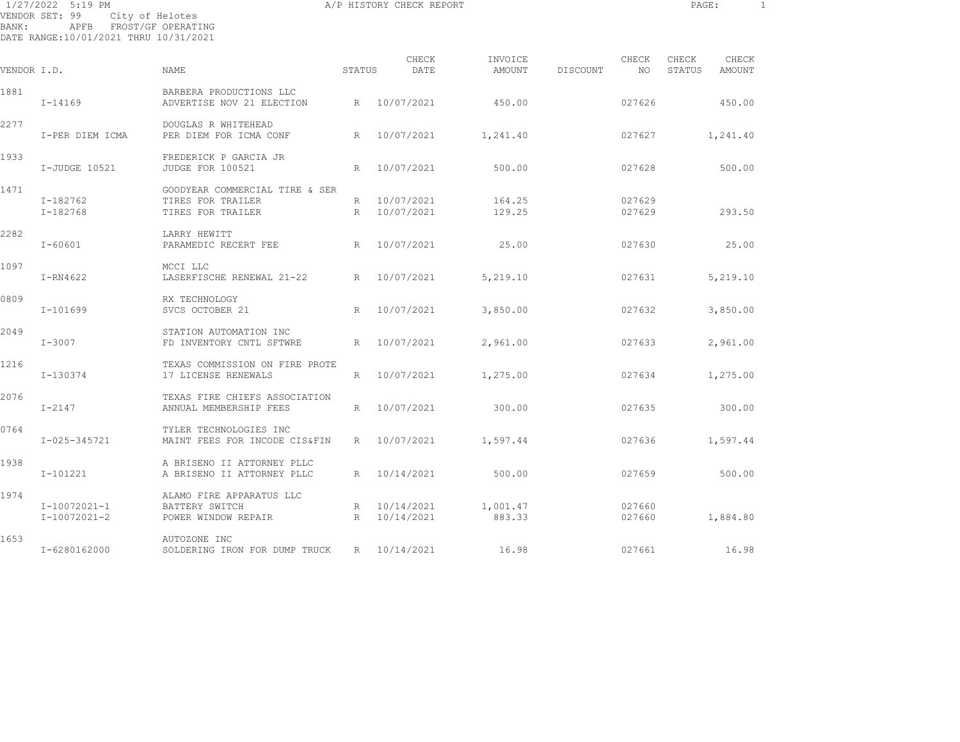| BANK:       | 1/27/2022 5:19 PM<br>VENDOR SET: 99<br>APFB<br>DATE RANGE:10/01/2021 THRU 10/31/2021 | City of Helotes<br>FROST/GF OPERATING                             |              | A/P HISTORY CHECK REPORT |                    |          |                  | PAGE:           |                 | $\mathbf{1}$ |
|-------------|--------------------------------------------------------------------------------------|-------------------------------------------------------------------|--------------|--------------------------|--------------------|----------|------------------|-----------------|-----------------|--------------|
| VENDOR I.D. |                                                                                      | <b>NAME</b>                                                       | STATUS       | CHECK<br>DATE            | INVOICE<br>AMOUNT  | DISCOUNT | CHECK<br>NO.     | CHECK<br>STATUS | CHECK<br>AMOUNT |              |
|             |                                                                                      |                                                                   |              |                          |                    |          |                  |                 |                 |              |
| 1881        | I-14169                                                                              | BARBERA PRODUCTIONS LLC<br>ADVERTISE NOV 21 ELECTION              | R            | 10/07/2021               | 450.00             |          | 027626           |                 | 450.00          |              |
| 2277        | I-PER DIEM ICMA                                                                      | DOUGLAS R WHITEHEAD<br>PER DIEM FOR ICMA CONF                     | R            | 10/07/2021               | 1,241.40           |          | 027627           |                 | 1,241.40        |              |
| 1933        | I-JUDGE 10521                                                                        | FREDERICK P GARCIA JR<br>JUDGE FOR 100521                         | $\mathbb{R}$ | 10/07/2021               | 500.00             |          | 027628           |                 | 500.00          |              |
| 1471        |                                                                                      | GOODYEAR COMMERCIAL TIRE & SER                                    |              |                          |                    |          |                  |                 |                 |              |
|             | I-182762<br>$I-182768$                                                               | TIRES FOR TRAILER<br>TIRES FOR TRAILER                            | R<br>R       | 10/07/2021<br>10/07/2021 | 164.25<br>129.25   |          | 027629<br>027629 |                 | 293.50          |              |
| 2282        | $I - 60601$                                                                          | LARRY HEWITT<br>PARAMEDIC RECERT FEE                              | R.           | 10/07/2021               | 25.00              |          | 027630           |                 | 25.00           |              |
| 1097        | I-RN4622                                                                             | MCCI LLC<br>LASERFISCHE RENEWAL 21-22                             | R            | 10/07/2021               | 5,219.10           |          | 027631           |                 | 5,219.10        |              |
| 0809        | $I-101699$                                                                           | RX TECHNOLOGY<br>SVCS OCTOBER 21                                  | R            | 10/07/2021               | 3,850.00           |          | 027632           |                 | 3,850.00        |              |
| 2049        | $I - 3007$                                                                           | STATION AUTOMATION INC<br>FD INVENTORY CNTL SFTWRE                | R.           | 10/07/2021               | 2,961.00           |          | 027633           |                 | 2,961.00        |              |
| 1216        | I-130374                                                                             | TEXAS COMMISSION ON FIRE PROTE<br>17 LICENSE RENEWALS             | R            | 10/07/2021               | 1,275.00           |          | 027634           |                 | 1,275.00        |              |
| 2076        | $I-2147$                                                                             | TEXAS FIRE CHIEFS ASSOCIATION<br>ANNUAL MEMBERSHIP FEES           | R            | 10/07/2021               | 300.00             |          | 027635           |                 | 300.00          |              |
| 0764        | I-025-345721                                                                         | TYLER TECHNOLOGIES INC<br>MAINT FEES FOR INCODE CIS&FIN           | R            | 10/07/2021               | 1,597.44           |          | 027636           |                 | 1,597.44        |              |
| 1938        | I-101221                                                                             | A BRISENO II ATTORNEY PLLC<br>A BRISENO II ATTORNEY PLLC          | R            | 10/14/2021               | 500.00             |          | 027659           |                 | 500.00          |              |
| 1974        | I-10072021-1<br>I-10072021-2                                                         | ALAMO FIRE APPARATUS LLC<br>BATTERY SWITCH<br>POWER WINDOW REPAIR | R<br>R       | 10/14/2021<br>10/14/2021 | 1,001.47<br>883.33 |          | 027660<br>027660 |                 | 1,884.80        |              |

1653 AUTOZONE INC I-6280162000 SOLDERING IRON FOR DUMP TRUCK R 10/14/2021 16.98 027661 16.98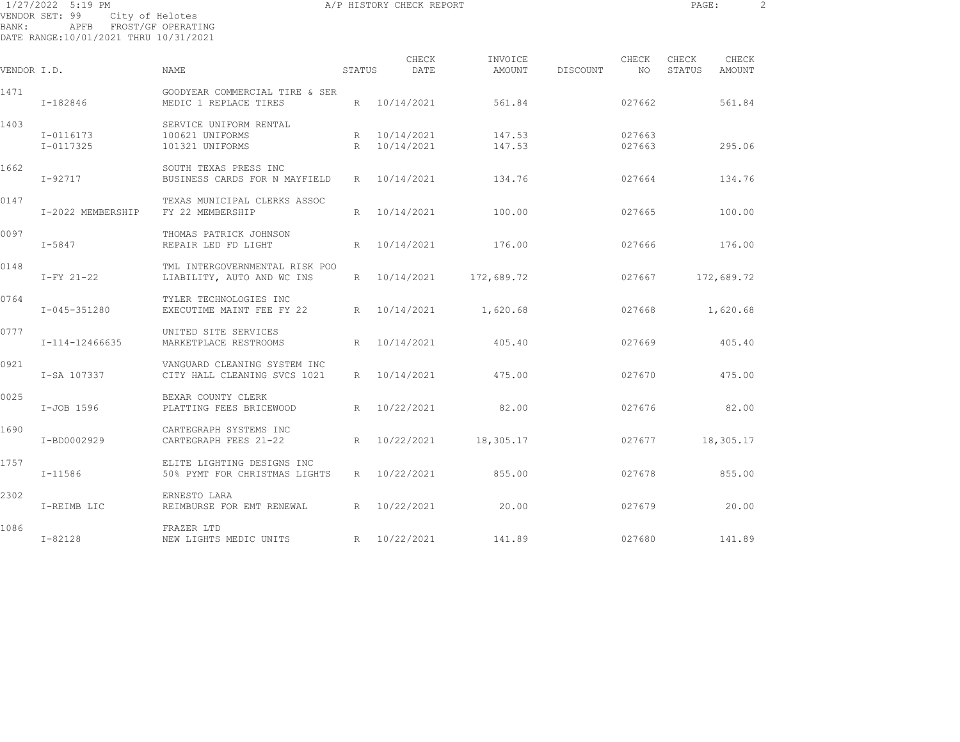1/27/2022 5:19 PM **A/P HISTORY CHECK REPORT PAGE:** 2 VENDOR SET: 99 City of Helotes

| BANK :         | APFB. |                 | FROST/GF OPERATING |
|----------------|-------|-----------------|--------------------|
| VENDOR SET: 99 |       | City of Helotes |                    |

DATE RANGE:10/01/2021 THRU 10/31/2021

| VENDOR I.D. |                        | <b>NAME</b>                                                  | STATUS | CHECK<br>DATE                | INVOICE<br>AMOUNT     | DISCOUNT | CHECK<br>NO.     | CHECK<br>STATUS | CHECK<br>AMOUNT |
|-------------|------------------------|--------------------------------------------------------------|--------|------------------------------|-----------------------|----------|------------------|-----------------|-----------------|
| 1471        | I-182846               | GOODYEAR COMMERCIAL TIRE & SER<br>MEDIC 1 REPLACE TIRES      |        | R 10/14/2021                 | 561.84                |          | 027662           |                 | 561.84          |
| 1403        | I-0116173<br>I-0117325 | SERVICE UNIFORM RENTAL<br>100621 UNIFORMS<br>101321 UNIFORMS |        | R 10/14/2021<br>R 10/14/2021 | 147.53<br>147.53      |          | 027663<br>027663 |                 | 295.06          |
| 1662        | I-92717                | SOUTH TEXAS PRESS INC<br>BUSINESS CARDS FOR N MAYFIELD       |        | R 10/14/2021                 | 134.76                |          | 027664           |                 | 134.76          |
| 0147        | I-2022 MEMBERSHIP      | TEXAS MUNICIPAL CLERKS ASSOC<br>FY 22 MEMBERSHIP             | R      | 10/14/2021                   | 100.00                |          | 027665           |                 | 100.00          |
| 0097        | $I - 5847$             | THOMAS PATRICK JOHNSON<br>REPAIR LED FD LIGHT                |        | R 10/14/2021                 | 176.00                |          | 027666           |                 | 176.00          |
| 0148        | $I-FY$ 21-22           | TML INTERGOVERNMENTAL RISK POO<br>LIABILITY, AUTO AND WC INS | R      | 10/14/2021                   | 172,689.72            |          | 027667           |                 | 172,689.72      |
| 0764        | I-045-351280           | TYLER TECHNOLOGIES INC<br>EXECUTIME MAINT FEE FY 22          |        |                              | R 10/14/2021 1,620.68 |          | 027668           |                 | 1,620.68        |
| 0777        | I-114-12466635         | UNITED SITE SERVICES<br>MARKETPLACE RESTROOMS                |        | R 10/14/2021                 | 405.40                |          | 027669           |                 | 405.40          |
| 0921        | I-SA 107337            | VANGUARD CLEANING SYSTEM INC<br>CITY HALL CLEANING SVCS 1021 |        | R 10/14/2021                 | 475.00                |          | 027670           |                 | 475.00          |
| 0025        | I-JOB 1596             | BEXAR COUNTY CLERK<br>PLATTING FEES BRICEWOOD                |        | R 10/22/2021                 | 82.00                 |          | 027676           |                 | 82.00           |
| 1690        | I-BD0002929            | CARTEGRAPH SYSTEMS INC<br>CARTEGRAPH FEES 21-22              |        | R 10/22/2021                 | 18,305.17             |          | 027677           |                 | 18,305.17       |
| 1757        | $I - 11586$            | ELITE LIGHTING DESIGNS INC<br>50% PYMT FOR CHRISTMAS LIGHTS  |        | R 10/22/2021                 | 855.00                |          | 027678           |                 | 855.00          |
| 2302        | I-REIMB LIC            | ERNESTO LARA<br>REIMBURSE FOR EMT RENEWAL                    |        | R 10/22/2021                 | 20.00                 |          | 027679           |                 | 20.00           |
| 1086        | $I - 82128$            | FRAZER LTD<br>NEW LIGHTS MEDIC UNITS                         |        | R 10/22/2021                 | 141.89                |          | 027680           |                 | 141.89          |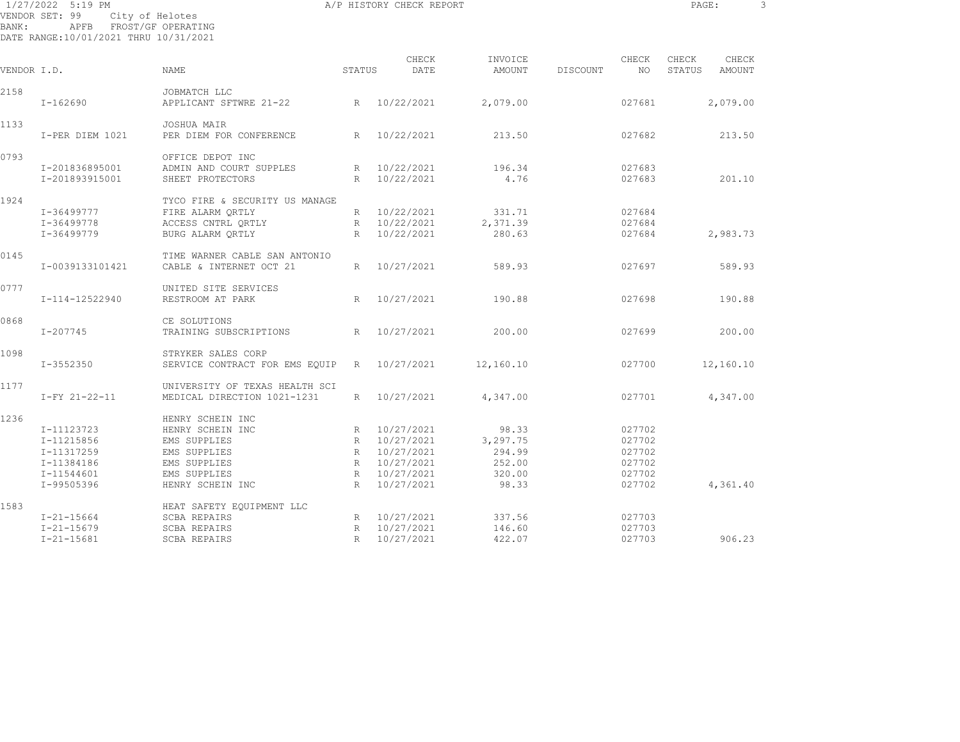| BANK:       | 1/27/2022 5:19 PM<br>VENDOR SET: 99<br>APFB FROST/GF OPERATING<br>DATE RANGE:10/01/2021 THRU 10/31/2021 | City of Helotes                                                      |             | A/P HISTORY CHECK REPORT                     |                             |                 |                            | PAGE:           |                 | $\mathbf{3}$ |
|-------------|---------------------------------------------------------------------------------------------------------|----------------------------------------------------------------------|-------------|----------------------------------------------|-----------------------------|-----------------|----------------------------|-----------------|-----------------|--------------|
| VENDOR I.D. |                                                                                                         | NAME                                                                 | STATUS      | CHECK<br>DATE                                | INVOICE<br>AMOUNT           | <b>DISCOUNT</b> | CHECK<br>NO.               | CHECK<br>STATUS | CHECK<br>AMOUNT |              |
|             |                                                                                                         |                                                                      |             |                                              |                             |                 |                            |                 |                 |              |
| 2158        | I-162690                                                                                                | JOBMATCH LLC<br>APPLICANT SFTWRE 21-22                               |             | R 10/22/2021                                 | 2,079.00                    |                 | 027681                     |                 | 2,079.00        |              |
| 1133        | I-PER DIEM 1021                                                                                         | JOSHUA MAIR<br>PER DIEM FOR CONFERENCE                               | R           | 10/22/2021                                   | 213.50                      |                 | 027682                     |                 | 213.50          |              |
| 0793        | I-201836895001<br>I-201893915001                                                                        | OFFICE DEPOT INC<br>ADMIN AND COURT SUPPLES<br>SHEET PROTECTORS      | R           | R 10/22/2021<br>10/22/2021                   | 196.34<br>4.76              |                 | 027683<br>027683           |                 | 201.10          |              |
| 1924        | I-36499777                                                                                              | TYCO FIRE & SECURITY US MANAGE<br>FIRE ALARM QRTLY                   |             | R 10/22/2021                                 | 331.71                      |                 | 027684                     |                 |                 |              |
|             | I-36499778<br>I-36499779                                                                                | ACCESS CNTRL ORTLY<br>BURG ALARM QRTLY                               | $R_{\perp}$ | R 10/22/2021<br>10/22/2021                   | 2,371.39<br>280.63          |                 | 027684<br>027684           |                 | 2,983.73        |              |
| 0145        | I-0039133101421                                                                                         | TIME WARNER CABLE SAN ANTONIO<br>CABLE & INTERNET OCT 21             | R           | 10/27/2021                                   | 589.93                      |                 | 027697                     |                 | 589.93          |              |
| 0777        | I-114-12522940                                                                                          | UNITED SITE SERVICES<br>RESTROOM AT PARK                             | R           | 10/27/2021                                   | 190.88                      |                 | 027698                     |                 | 190.88          |              |
| 0868        | $I - 207745$                                                                                            | CE SOLUTIONS<br>TRAINING SUBSCRIPTIONS                               | R           | 10/27/2021                                   | 200.00                      |                 | 027699                     |                 | 200.00          |              |
| 1098        | I-3552350                                                                                               | STRYKER SALES CORP<br>SERVICE CONTRACT FOR EMS EQUIP                 |             | R 10/27/2021                                 | 12,160.10                   |                 | 027700                     |                 | 12,160.10       |              |
| 1177        | I-FY 21-22-11                                                                                           | UNIVERSITY OF TEXAS HEALTH SCI<br>MEDICAL DIRECTION 1021-1231        | $R_{\perp}$ | 10/27/2021                                   | 4,347.00                    |                 | 027701                     |                 | 4,347.00        |              |
| 1236        | I-11123723<br>I-11215856<br>I-11317259                                                                  | HENRY SCHEIN INC<br>HENRY SCHEIN INC<br>EMS SUPPLIES<br>EMS SUPPLIES |             | R 10/27/2021<br>R 10/27/2021<br>R 10/27/2021 | 98.33<br>3,297.75<br>294.99 |                 | 027702<br>027702<br>027702 |                 |                 |              |
|             | I-11384186<br>I-11544601<br>I-99505396                                                                  | EMS SUPPLIES<br>EMS SUPPLIES<br>HENRY SCHEIN INC                     | R           | R 10/27/2021<br>R 10/27/2021<br>10/27/2021   | 252.00<br>320.00<br>98.33   |                 | 027702<br>027702<br>027702 |                 | 4,361.40        |              |
| 1583        | $I - 21 - 15664$<br>$I - 21 - 15679$                                                                    | HEAT SAFETY EQUIPMENT LLC<br><b>SCBA REPAIRS</b><br>SCBA REPAIRS     |             | R 10/27/2021<br>R 10/27/2021                 | 337.56<br>146.60            |                 | 027703<br>027703           |                 |                 |              |

I-21-15681 SCBA REPAIRS R 10/27/2021 422.07 027703 906.23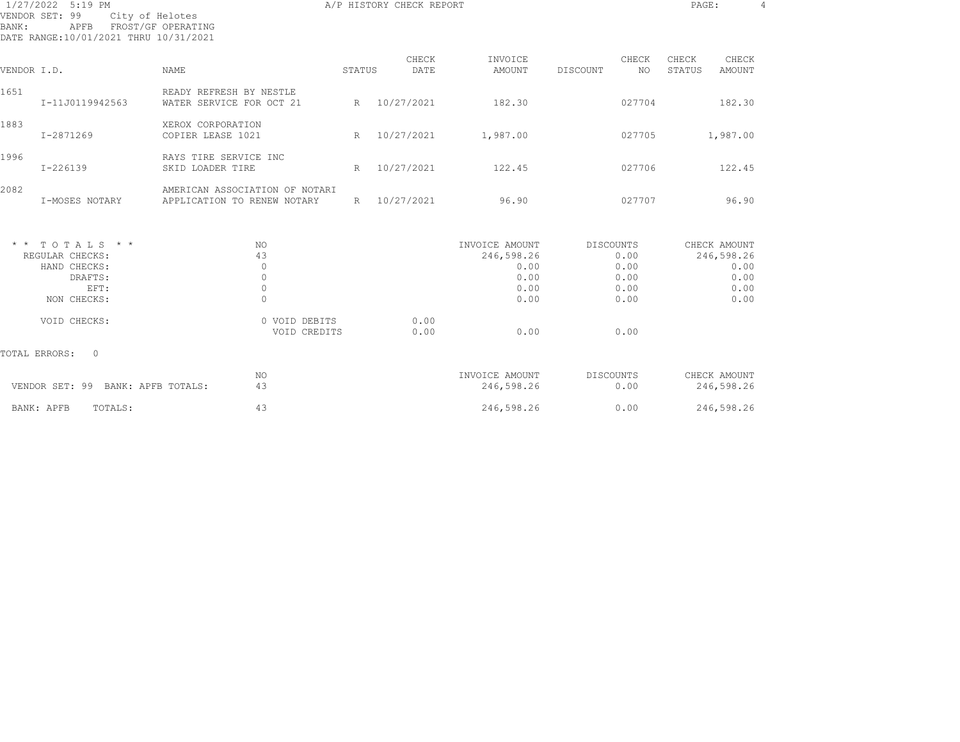| 1/27/2022 5:19 PM<br>VENDOR SET: 99<br>City of Helotes<br>FROST/GF OPERATING<br>BANK:<br>APFB<br>DATE RANGE:10/01/2021 THRU 10/31/2021 |                                                               |        | A/P HISTORY CHECK REPORT |                                                              |                  |                                      | PAGE:           |                                                            | $\overline{4}$ |
|----------------------------------------------------------------------------------------------------------------------------------------|---------------------------------------------------------------|--------|--------------------------|--------------------------------------------------------------|------------------|--------------------------------------|-----------------|------------------------------------------------------------|----------------|
| VENDOR I.D.                                                                                                                            | <b>NAME</b>                                                   | STATUS | CHECK<br>DATE            | INVOICE<br><b>AMOUNT</b>                                     | DISCOUNT         | CHECK<br>NO.                         | CHECK<br>STATUS | CHECK<br>AMOUNT                                            |                |
| 1651<br>I-11J0119942563                                                                                                                | READY REFRESH BY NESTLE<br>WATER SERVICE FOR OCT 21           | R      | 10/27/2021               | 182.30                                                       |                  | 027704                               |                 | 182.30                                                     |                |
| 1883<br>I-2871269                                                                                                                      | XEROX CORPORATION<br>COPIER LEASE 1021                        | R      | 10/27/2021               | 1,987.00                                                     |                  | 027705                               |                 | 1,987.00                                                   |                |
| 1996<br>$I - 226139$                                                                                                                   | RAYS TIRE SERVICE INC<br>SKID LOADER TIRE                     | R      | 10/27/2021               | 122.45                                                       |                  | 027706                               |                 | 122.45                                                     |                |
| 2082<br>I-MOSES NOTARY                                                                                                                 | AMERICAN ASSOCIATION OF NOTARI<br>APPLICATION TO RENEW NOTARY | R      | 10/27/2021               | 96.90                                                        |                  | 027707                               |                 | 96.90                                                      |                |
| $*$ * TOTALS * *<br>REGULAR CHECKS:<br>HAND CHECKS:<br>DRAFTS:<br>EFT:<br>NON CHECKS:                                                  | NO.<br>43<br>$\circ$<br>$\circ$<br>$\mathbf{0}$<br>$\Omega$   |        |                          | INVOICE AMOUNT<br>246,598.26<br>0.00<br>0.00<br>0.00<br>0.00 | DISCOUNTS        | 0.00<br>0.00<br>0.00<br>0.00<br>0.00 |                 | CHECK AMOUNT<br>246,598.26<br>0.00<br>0.00<br>0.00<br>0.00 |                |
| VOID CHECKS:                                                                                                                           | 0 VOID DEBITS<br>VOID CREDITS                                 |        | 0.00<br>0.00             | 0.00                                                         |                  | 0.00                                 |                 |                                                            |                |
| TOTAL ERRORS:<br>$\Omega$                                                                                                              |                                                               |        |                          |                                                              |                  |                                      |                 |                                                            |                |
| VENDOR SET: 99 BANK: APFB TOTALS:                                                                                                      | NO<br>43                                                      |        |                          | INVOICE AMOUNT<br>246,598.26                                 | <b>DISCOUNTS</b> | 0.00                                 |                 | CHECK AMOUNT<br>246,598.26                                 |                |
| BANK: APFB<br>TOTALS:                                                                                                                  | 43                                                            |        |                          | 246,598.26                                                   |                  | 0.00                                 |                 | 246,598.26                                                 |                |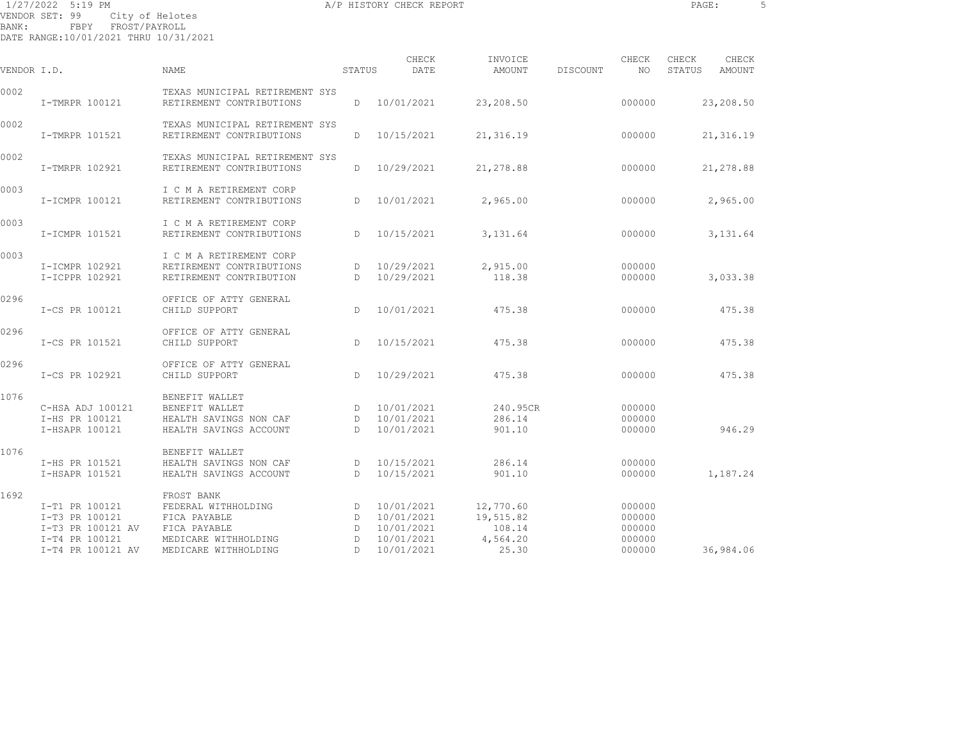1/27/2022 5:19 PM A/P HISTORY CHECK REPORT PAGE: 5 VENDOR SET: 99 City of Helotes BANK: FBPY FROST/PAYROLL

DATE RANGE:10/01/2021 THRU 10/31/2021

| VENDOR I.D. |                                                                                              | NAME                                                                                                              | STATUS                | CHECK<br>DATE                                                      | INVOICE<br>AMOUNT                                     | DISCOUNT | CHECK<br>NO                                    | CHECK<br>STATUS | CHECK<br>AMOUNT |
|-------------|----------------------------------------------------------------------------------------------|-------------------------------------------------------------------------------------------------------------------|-----------------------|--------------------------------------------------------------------|-------------------------------------------------------|----------|------------------------------------------------|-----------------|-----------------|
| 0002        | I-TMRPR 100121                                                                               | TEXAS MUNICIPAL RETIREMENT SYS<br>RETIREMENT CONTRIBUTIONS                                                        | D                     | 10/01/2021                                                         | 23,208.50                                             |          | 000000                                         |                 | 23,208.50       |
| 0002        | I-TMRPR 101521                                                                               | TEXAS MUNICIPAL RETIREMENT SYS<br>RETIREMENT CONTRIBUTIONS                                                        | D                     | 10/15/2021                                                         | 21,316.19                                             |          | 000000                                         |                 | 21,316.19       |
| 0002        | I-TMRPR 102921                                                                               | TEXAS MUNICIPAL RETIREMENT SYS<br>RETIREMENT CONTRIBUTIONS                                                        | D                     | 10/29/2021                                                         | 21,278.88                                             |          | 000000                                         |                 | 21,278.88       |
| 0003        | I-ICMPR 100121                                                                               | I C M A RETIREMENT CORP<br>RETIREMENT CONTRIBUTIONS                                                               | $\mathbb{D}$          | 10/01/2021                                                         | 2,965.00                                              |          | 000000                                         |                 | 2,965.00        |
| 0003        | I-ICMPR 101521                                                                               | I C M A RETIREMENT CORP<br>RETIREMENT CONTRIBUTIONS                                                               | D                     | 10/15/2021                                                         | 3,131.64                                              |          | 000000                                         |                 | 3,131.64        |
| 0003        | I-ICMPR 102921<br>I-ICPPR 102921                                                             | I C M A RETIREMENT CORP<br>RETIREMENT CONTRIBUTIONS<br>RETIREMENT CONTRIBUTION                                    | D<br>$\mathbb{D}$     | 10/29/2021<br>10/29/2021                                           | 2,915.00<br>118.38                                    |          | 000000<br>000000                               |                 | 3,033.38        |
| 0296        | I-CS PR 100121                                                                               | OFFICE OF ATTY GENERAL<br>CHILD SUPPORT                                                                           | D                     | 10/01/2021                                                         | 475.38                                                |          | 000000                                         |                 | 475.38          |
| 0296        | I-CS PR 101521                                                                               | OFFICE OF ATTY GENERAL<br>CHILD SUPPORT                                                                           | D.                    | 10/15/2021                                                         | 475.38                                                |          | 000000                                         |                 | 475.38          |
| 0296        | I-CS PR 102921                                                                               | OFFICE OF ATTY GENERAL<br>CHILD SUPPORT                                                                           | D                     | 10/29/2021                                                         | 475.38                                                |          | 000000                                         |                 | 475.38          |
| 1076        | C-HSA ADJ 100121<br>I-HS PR 100121<br>I-HSAPR 100121                                         | BENEFIT WALLET<br>BENEFIT WALLET<br>HEALTH SAVINGS NON CAF<br>HEALTH SAVINGS ACCOUNT                              | D<br>D<br>D           | 10/01/2021<br>10/01/2021<br>10/01/2021                             | 240.95CR<br>286.14<br>901.10                          |          | 000000<br>000000<br>000000                     |                 | 946.29          |
| 1076        | I-HS PR 101521<br>I-HSAPR 101521                                                             | BENEFIT WALLET<br>HEALTH SAVINGS NON CAF<br>HEALTH SAVINGS ACCOUNT                                                | D<br>D                | 10/15/2021<br>10/15/2021                                           | 286.14<br>901.10                                      |          | 000000<br>000000                               |                 | 1,187.24        |
| 1692        | I-T1 PR 100121<br>I-T3 PR 100121<br>I-T3 PR 100121 AV<br>I-T4 PR 100121<br>I-T4 PR 100121 AV | FROST BANK<br>FEDERAL WITHHOLDING<br>FICA PAYABLE<br>FICA PAYABLE<br>MEDICARE WITHHOLDING<br>MEDICARE WITHHOLDING | D<br>D<br>D<br>D<br>D | 10/01/2021<br>10/01/2021<br>10/01/2021<br>10/01/2021<br>10/01/2021 | 12,770.60<br>19,515.82<br>108.14<br>4,564.20<br>25.30 |          | 000000<br>000000<br>000000<br>000000<br>000000 |                 | 36,984.06       |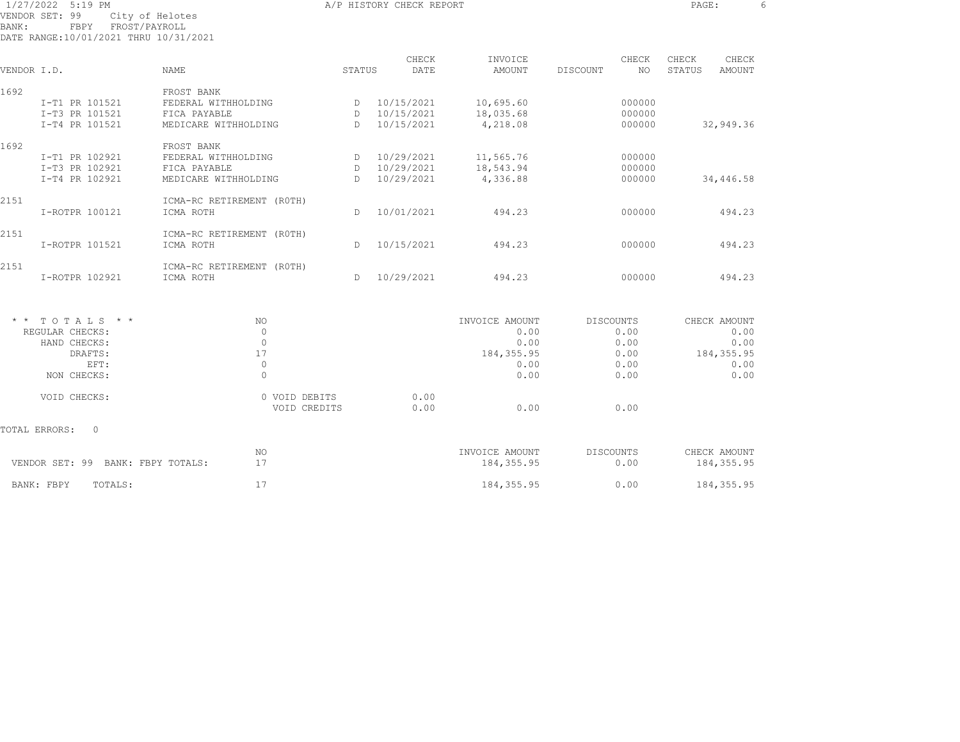|       | 1/27/2022 5:19 PM<br>VENDOR SET: 99           | City of Helotes           |              | A/P HISTORY CHECK REPORT |                |                 | PAGE:                   | 6 |
|-------|-----------------------------------------------|---------------------------|--------------|--------------------------|----------------|-----------------|-------------------------|---|
| BANK: | FBPY<br>DATE RANGE:10/01/2021 THRU 10/31/2021 | FROST/PAYROLL             |              |                          |                |                 |                         |   |
|       |                                               |                           |              | CHECK                    | INVOICE        | CHECK           | CHECK<br>CHECK          |   |
|       | VENDOR I.D.                                   | NAME                      | STATUS       | DATE                     | AMOUNT         | NO.<br>DISCOUNT | STATUS<br><b>AMOUNT</b> |   |
| 1692  |                                               | FROST BANK                |              |                          |                |                 |                         |   |
|       | I-T1 PR 101521                                | FEDERAL WITHHOLDING       | D            | 10/15/2021               | 10,695.60      | 000000          |                         |   |
|       | I-T3 PR 101521                                | FICA PAYABLE              | D            | 10/15/2021               | 18,035.68      | 000000          |                         |   |
|       | I-T4 PR 101521                                | MEDICARE WITHHOLDING      | D.           | 10/15/2021               | 4,218.08       | 000000          | 32,949.36               |   |
| 1692  |                                               | FROST BANK                |              |                          |                |                 |                         |   |
|       | I-T1 PR 102921                                | FEDERAL WITHHOLDING       | D            | 10/29/2021               | 11,565.76      | 000000          |                         |   |
|       | I-T3 PR 102921                                | FICA PAYABLE              | D            | 10/29/2021               | 18,543.94      | 000000          |                         |   |
|       | I-T4 PR 102921                                | MEDICARE WITHHOLDING      | D            | 10/29/2021               | 4,336.88       | 000000          | 34,446.58               |   |
| 2151  |                                               | ICMA-RC RETIREMENT (ROTH) |              |                          |                |                 |                         |   |
|       | I-ROTPR 100121                                | ICMA ROTH                 | $\mathbb{D}$ | 10/01/2021               | 494.23         | 000000          | 494.23                  |   |
| 2151  |                                               | ICMA-RC RETIREMENT (ROTH) |              |                          |                |                 |                         |   |
|       | I-ROTPR 101521                                | ICMA ROTH                 | D.           | 10/15/2021               | 494.23         | 000000          | 494.23                  |   |
| 2151  |                                               | ICMA-RC RETIREMENT (ROTH) |              |                          |                |                 |                         |   |
|       | I-ROTPR 102921                                | ICMA ROTH                 | $\mathbb{D}$ | 10/29/2021               | 494.23         | 000000          | 494.23                  |   |
| * *   | TOTALS * *                                    | NO.                       |              |                          | INVOICE AMOUNT | DISCOUNTS       | CHECK AMOUNT            |   |
|       | REGULAR CHECKS:                               | $\circ$                   |              |                          | 0.00           | 0.00            | 0.00                    |   |
|       | HAND CHECKS:                                  | $\circ$                   |              |                          | 0.00           | 0.00            | 0.00                    |   |
|       | DRAFTS:                                       | 17                        |              |                          | 184, 355.95    | 0.00            | 184, 355.95             |   |
|       | EFT:                                          | $\circ$                   |              |                          | 0.00           | 0.00            | 0.00                    |   |
|       |                                               |                           |              |                          |                |                 |                         |   |

VOID CHECKS: 0 VOID DEBITS

TOTAL ERRORS: 0

NON CHECKS: 0 0.00 0.00 0.00

VENDOR SET: 99 BANK: FBPY TOTALS: 17 184,355.95 0.00 184,355.95 BANK: FBPY TOTALS: 17 17 184,355.95 0.00 184,355.95

 $0.00$ VOID CREDITS 0.00 0.00 0.00

NO INVOICE AMOUNT DISCOUNTS

 $0.00$ 

CHECK AMOUNT

 $0.00$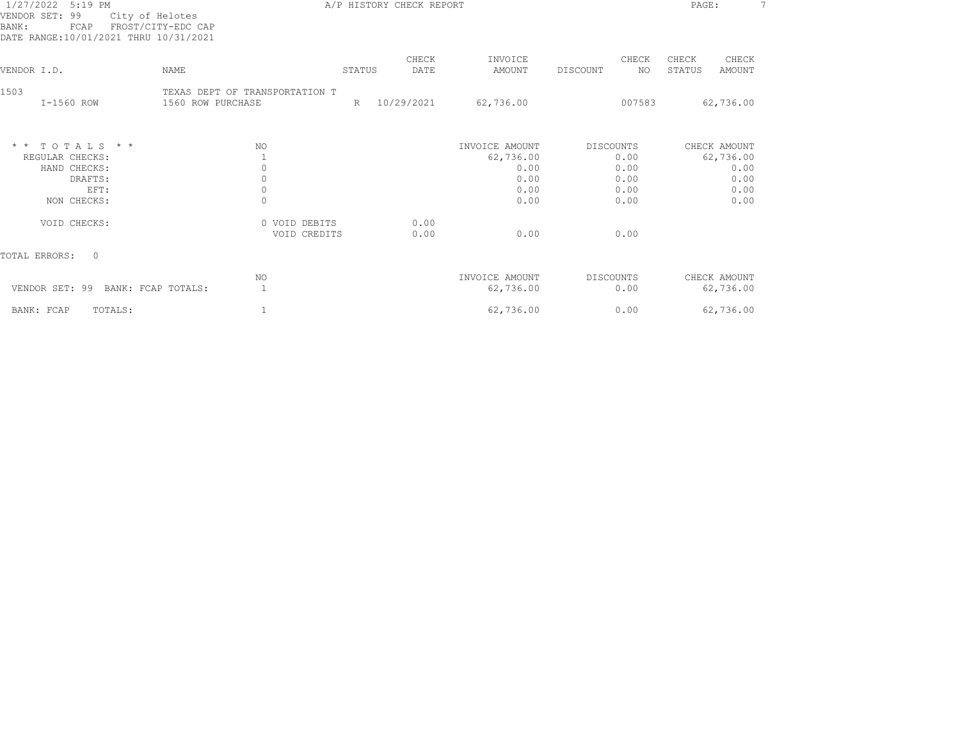| 1/27/2022<br>$5:19$ PM<br>VENDOR SET: 99<br>City of Helotes<br>FROST/CITY-EDC CAP<br>BANK:<br>FCAP<br>DATE RANGE:10/01/2021 THRU 10/31/2021 |                                                                                           | A/P HISTORY CHECK REPORT |               |                                                             |                                                   | PAGE:                              |                              |
|---------------------------------------------------------------------------------------------------------------------------------------------|-------------------------------------------------------------------------------------------|--------------------------|---------------|-------------------------------------------------------------|---------------------------------------------------|------------------------------------|------------------------------|
| VENDOR I.D.<br><b>NAME</b>                                                                                                                  |                                                                                           | STATUS                   | CHECK<br>DATE | INVOICE<br>AMOUNT                                           | CHECK<br>DISCOUNT<br>NO.                          | CHECK<br>CHECK<br>STATUS<br>AMOUNT |                              |
| 1503<br>I-1560 ROW                                                                                                                          | TEXAS DEPT OF TRANSPORTATION T<br>1560 ROW PURCHASE                                       | R                        | 10/29/2021    | 62,736.00                                                   | 007583                                            | 62,736.00                          |                              |
| TOTALS * *<br>$\star$ $\star$<br>REGULAR CHECKS:<br>HAND CHECKS:<br>DRAFTS:<br>EFT:<br>NON CHECKS:<br>VOID CHECKS:                          | NO.<br>$\mathbf{1}$<br>$\circ$<br>$\circ$<br>$\mathbb O$<br>$\mathbf{0}$<br>0 VOID DEBITS |                          | 0.00          | INVOICE AMOUNT<br>62,736.00<br>0.00<br>0.00<br>0.00<br>0.00 | DISCOUNTS<br>0.00<br>0.00<br>0.00<br>0.00<br>0.00 | CHECK AMOUNT<br>62,736.00          | 0.00<br>0.00<br>0.00<br>0.00 |
| TOTAL ERRORS:<br>$\Omega$                                                                                                                   | VOID CREDITS                                                                              |                          | 0.00          | 0.00                                                        | 0.00                                              |                                    |                              |
| VENDOR SET: 99<br>BANK: FCAP TOTALS:                                                                                                        | NO<br>1                                                                                   |                          |               | INVOICE AMOUNT<br>62,736.00                                 | DISCOUNTS<br>0.00                                 | CHECK AMOUNT<br>62,736.00          |                              |
| BANK: FCAP<br>TOTALS:                                                                                                                       | 1                                                                                         |                          |               | 62,736.00                                                   | 0.00                                              | 62,736.00                          |                              |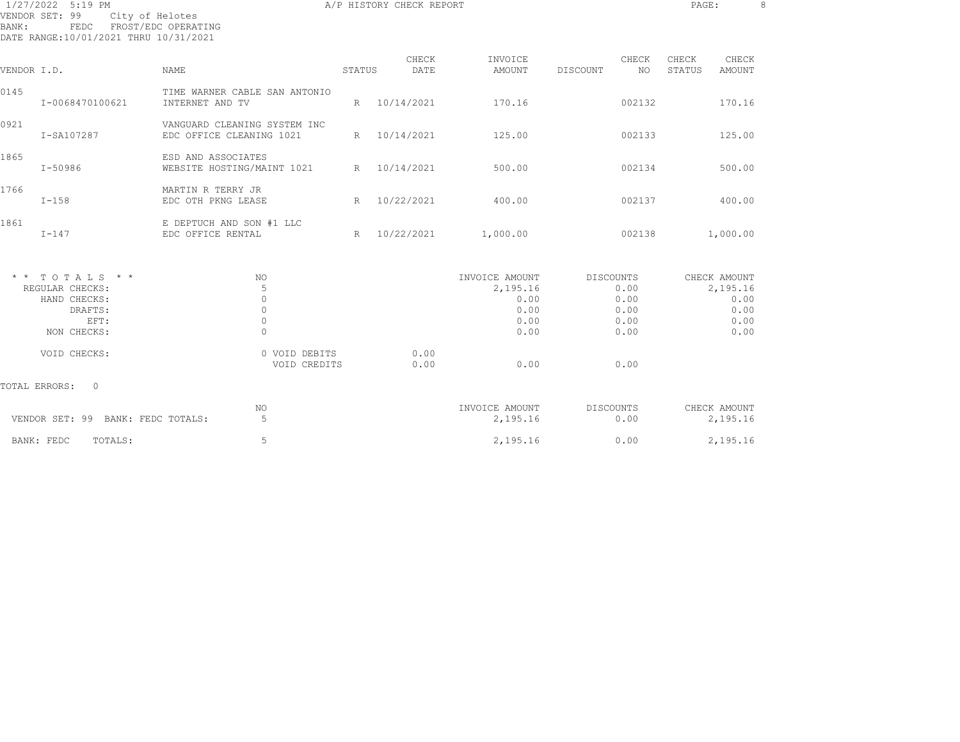| 1/27/2022 5:19 PM<br>A/P HISTORY CHECK REPORT                                               |                                                          |        |              |                |                  |              |               |  |  |
|---------------------------------------------------------------------------------------------|----------------------------------------------------------|--------|--------------|----------------|------------------|--------------|---------------|--|--|
| VENDOR SET: 99<br>City of Helotes<br>BANK:<br>FEDC<br>DATE RANGE:10/01/2021 THRU 10/31/2021 | FROST/EDC OPERATING                                      |        |              |                |                  |              |               |  |  |
|                                                                                             |                                                          |        | CHECK        | INVOICE        | CHECK            | CHECK        | CHECK         |  |  |
| VENDOR I.D.                                                                                 | NAME                                                     | STATUS | DATE         | AMOUNT         | DISCOUNT<br>NO.  | STATUS       | <b>AMOUNT</b> |  |  |
| 0145<br>I-0068470100621                                                                     | TIME WARNER CABLE SAN ANTONIO<br>INTERNET AND TV         |        | R 10/14/2021 | 170.16         | 002132           |              | 170.16        |  |  |
| 0921<br>I-SA107287                                                                          | VANGUARD CLEANING SYSTEM INC<br>EDC OFFICE CLEANING 1021 |        | R 10/14/2021 | 125.00         | 002133           |              | 125.00        |  |  |
| 1865<br>I-50986                                                                             | ESD AND ASSOCIATES<br>WEBSITE HOSTING/MAINT 1021         | R      | 10/14/2021   | 500.00         | 002134           |              | 500.00        |  |  |
| 1766<br>$I-158$                                                                             | MARTIN R TERRY JR<br>EDC OTH PKNG LEASE                  | R      | 10/22/2021   | 400.00         | 002137           |              | 400.00        |  |  |
| 1861<br>$I-147$                                                                             | E DEPTUCH AND SON #1 LLC<br>EDC OFFICE RENTAL            |        | R 10/22/2021 | 1,000.00       | 002138           |              | 1,000.00      |  |  |
| $*$ * TOTALS * *                                                                            | NO                                                       |        |              | INVOICE AMOUNT | DISCOUNTS        | CHECK AMOUNT |               |  |  |
| REGULAR CHECKS:                                                                             | 5                                                        |        |              | 2,195.16       | 0.00             |              | 2,195.16      |  |  |
| HAND CHECKS:                                                                                | $\circ$                                                  |        |              | 0.00           | 0.00             |              | 0.00          |  |  |
| DRAFTS:                                                                                     | $\circ$                                                  |        |              | 0.00           | 0.00             |              | 0.00          |  |  |
| EFT:                                                                                        | $\mathbb O$                                              |        |              | 0.00           | 0.00             |              | 0.00          |  |  |
| NON CHECKS:                                                                                 | $\circ$                                                  |        |              | 0.00           | 0.00             |              | 0.00          |  |  |
| VOID CHECKS:                                                                                | 0 VOID DEBITS<br>VOID CREDITS                            |        | 0.00<br>0.00 | 0.00           | 0.00             |              |               |  |  |
| TOTAL ERRORS:<br>$\overline{0}$                                                             |                                                          |        |              |                |                  |              |               |  |  |
|                                                                                             | NO                                                       |        |              | INVOICE AMOUNT | <b>DISCOUNTS</b> | CHECK AMOUNT |               |  |  |
| VENDOR SET: 99 BANK: FEDC TOTALS:                                                           | 5                                                        |        |              | 2,195.16       | 0.00             |              | 2,195.16      |  |  |
| TOTALS:<br>BANK: FEDC                                                                       | 5                                                        |        |              | 2,195.16       | 0.00             |              | 2,195.16      |  |  |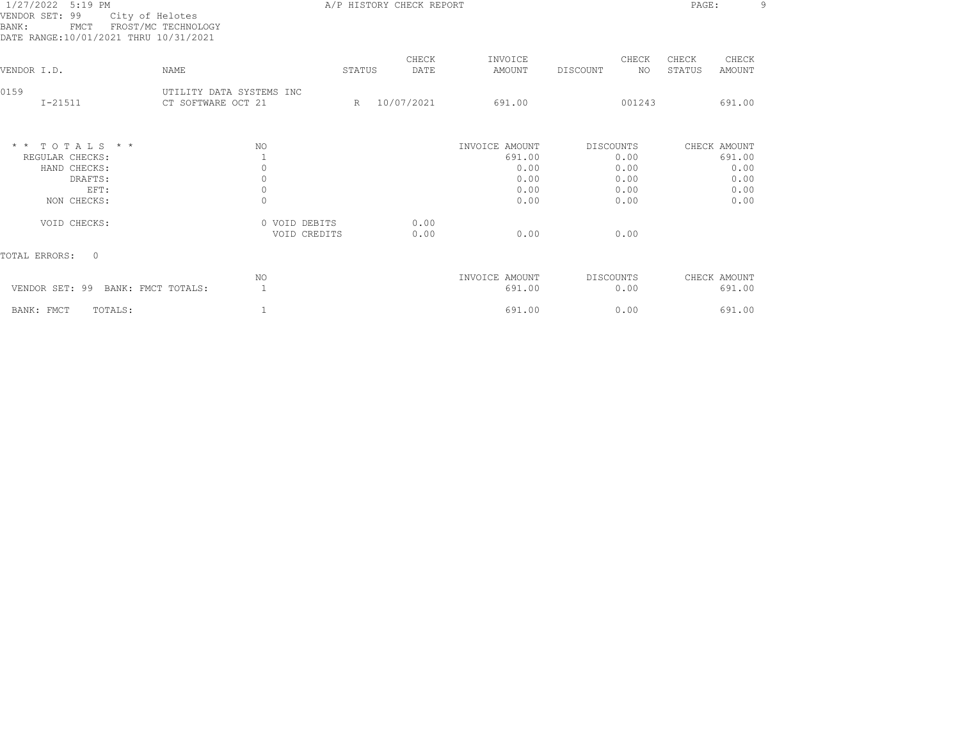| 1/27/2022 5:19 PM<br>VENDOR SET: 99<br>City of Helotes<br>FROST/MC TECHNOLOGY<br>BANK:<br>FMCT<br>DATE RANGE:10/01/2021 THRU 10/31/2021 |                                                |        | A/P HISTORY CHECK REPORT |                          |                          | PAGE:                              | q |
|-----------------------------------------------------------------------------------------------------------------------------------------|------------------------------------------------|--------|--------------------------|--------------------------|--------------------------|------------------------------------|---|
| VENDOR I.D.<br>NAME                                                                                                                     |                                                | STATUS | CHECK<br>DATE            | INVOICE<br>AMOUNT        | CHECK<br>DISCOUNT<br>NO  | CHECK<br>CHECK<br>STATUS<br>AMOUNT |   |
| 0159<br>$I - 21511$                                                                                                                     | UTILITY DATA SYSTEMS INC<br>CT SOFTWARE OCT 21 | R      | 10/07/2021               | 691.00                   | 001243                   | 691.00                             |   |
| $*$ * TOTALS * *<br>REGULAR CHECKS:                                                                                                     | NO                                             |        |                          | INVOICE AMOUNT<br>691.00 | <b>DISCOUNTS</b><br>0.00 | CHECK AMOUNT<br>691.00             |   |
| HAND CHECKS:<br>DRAFTS:<br>EFT:                                                                                                         | $\circ$<br>$\circ$<br>$\circ$                  |        |                          | 0.00<br>0.00<br>0.00     | 0.00<br>0.00<br>0.00     | 0.00<br>0.00<br>0.00               |   |
| NON CHECKS:                                                                                                                             | $\circ$                                        |        |                          | 0.00                     | 0.00                     | 0.00                               |   |
| VOID CHECKS:                                                                                                                            | 0 VOID DEBITS<br>VOID CREDITS                  |        | 0.00<br>0.00             | 0.00                     | 0.00                     |                                    |   |
| TOTAL ERRORS:<br>$\Omega$                                                                                                               |                                                |        |                          |                          |                          |                                    |   |
| VENDOR SET: 99<br>BANK: FMCT TOTALS:                                                                                                    | NO<br>$\mathbf{1}$                             |        |                          | INVOICE AMOUNT<br>691.00 | DISCOUNTS<br>0.00        | CHECK AMOUNT<br>691.00             |   |
| BANK: FMCT<br>TOTALS:                                                                                                                   |                                                |        |                          | 691.00                   | 0.00                     | 691.00                             |   |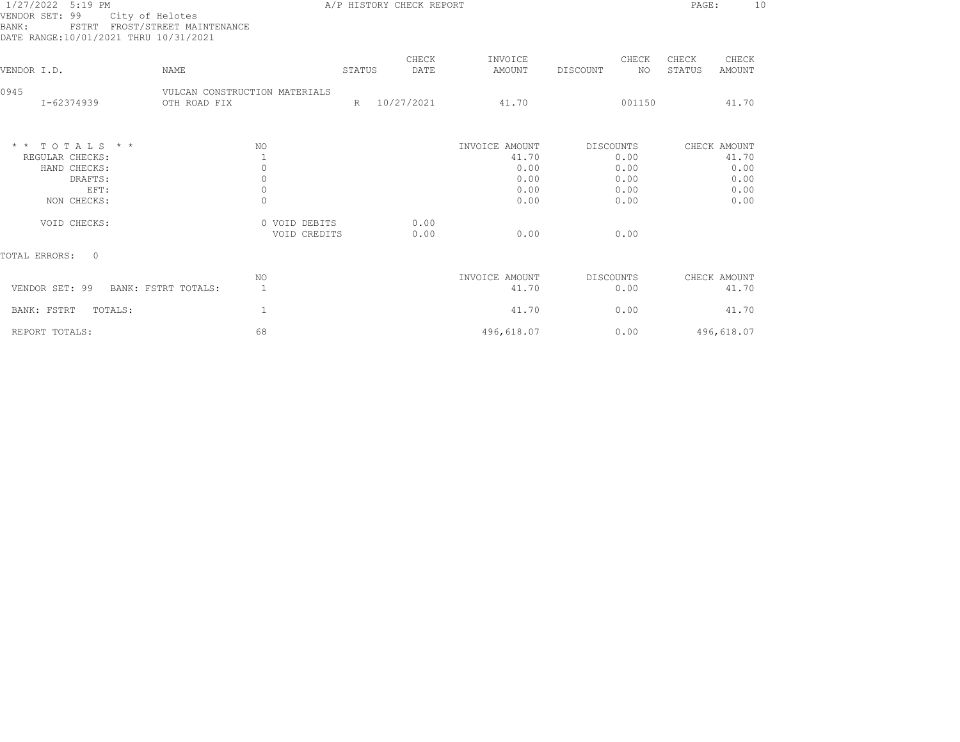| 1/27/2022 5:19 PM<br>VENDOR SET: 99<br>City of Helotes<br>FSTRT FROST/STREET MAINTENANCE<br>BANK :<br>DATE RANGE:10/01/2021 THRU 10/31/2021 |                               |        | A/P HISTORY CHECK REPORT |                |           |        | PAGE:  | 10           |
|---------------------------------------------------------------------------------------------------------------------------------------------|-------------------------------|--------|--------------------------|----------------|-----------|--------|--------|--------------|
|                                                                                                                                             |                               |        | CHECK                    | INVOICE        |           | CHECK  | CHECK  | CHECK        |
| VENDOR I.D.<br><b>NAME</b>                                                                                                                  |                               | STATUS | DATE                     | AMOUNT         | DISCOUNT  | NO.    | STATUS | AMOUNT       |
| 0945                                                                                                                                        | VULCAN CONSTRUCTION MATERIALS |        |                          |                |           |        |        |              |
| I-62374939                                                                                                                                  | OTH ROAD FIX                  |        | R 10/27/2021             | 41.70          |           | 001150 |        | 41.70        |
| $*$ * TOTALS * *                                                                                                                            | NO                            |        |                          | INVOICE AMOUNT | DISCOUNTS |        |        | CHECK AMOUNT |
| REGULAR CHECKS:                                                                                                                             | 1                             |        |                          | 41.70          |           | 0.00   |        | 41.70        |
| HAND CHECKS:                                                                                                                                | $\circ$                       |        |                          | 0.00           |           | 0.00   |        | 0.00         |
| DRAFTS:                                                                                                                                     | $\mathbb O$                   |        |                          | 0.00           |           | 0.00   |        | 0.00         |
| EFT:                                                                                                                                        | $\circ$                       |        |                          | 0.00           |           | 0.00   |        | 0.00         |
| NON CHECKS:                                                                                                                                 | $\circ$                       |        |                          | 0.00           |           | 0.00   |        | 0.00         |
| VOID CHECKS:                                                                                                                                | 0 VOID DEBITS                 |        | 0.00                     |                |           |        |        |              |
|                                                                                                                                             | VOID CREDITS                  |        | 0.00                     | 0.00           |           | 0.00   |        |              |
| TOTAL ERRORS:<br>$\bigcap$                                                                                                                  |                               |        |                          |                |           |        |        |              |
|                                                                                                                                             | NO.                           |        |                          | INVOICE AMOUNT | DISCOUNTS |        |        | CHECK AMOUNT |
| VENDOR SET: 99<br>BANK: FSTRT TOTALS:                                                                                                       | $\overline{1}$                |        |                          | 41.70          |           | 0.00   |        | 41.70        |
| BANK: FSTRT<br>TOTALS:                                                                                                                      | $\mathbf{1}$                  |        |                          | 41.70          |           | 0.00   |        | 41.70        |
| REPORT TOTALS:                                                                                                                              | 68                            |        |                          | 496,618.07     |           | 0.00   |        | 496,618.07   |
|                                                                                                                                             |                               |        |                          |                |           |        |        |              |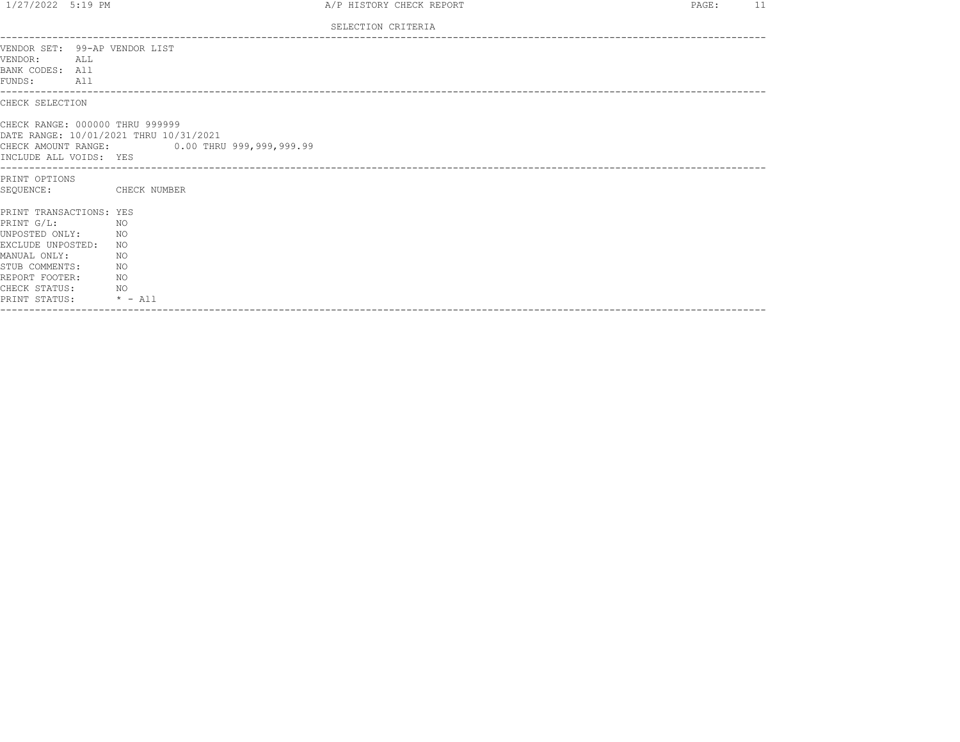| $1/27/2022$ 5:19 PM                                                                                                                                                        |                                                                          |                                                                                        | A/P HISTORY CHECK REPORT | $\sim$ 11<br>PAGE: |  |
|----------------------------------------------------------------------------------------------------------------------------------------------------------------------------|--------------------------------------------------------------------------|----------------------------------------------------------------------------------------|--------------------------|--------------------|--|
|                                                                                                                                                                            |                                                                          |                                                                                        | SELECTION CRITERIA       |                    |  |
| VENDOR SET: 99-AP VENDOR LIST<br>VENDOR:<br>BANK CODES: All<br>FUNDS:<br>All                                                                                               | ALL                                                                      |                                                                                        |                          |                    |  |
| CHECK SELECTION                                                                                                                                                            |                                                                          |                                                                                        |                          |                    |  |
| CHECK RANGE: 000000 THRU 999999<br>INCLUDE ALL VOIDS: YES                                                                                                                  |                                                                          | DATE RANGE: 10/01/2021 THRU 10/31/2021<br>CHECK AMOUNT RANGE: 0.00 THRU 999,999,999.99 |                          |                    |  |
| PRINT OPTIONS<br>SEOUENCE:                                                                                                                                                 |                                                                          | CHECK NUMBER                                                                           |                          |                    |  |
| PRINT TRANSACTIONS: YES<br>PRINT G/L:<br>UNPOSTED ONLY:<br>EXCLUDE UNPOSTED:<br>MANUAL ONLY:<br>STUB COMMENTS:<br>REPORT FOOTER:<br>CHECK STATUS:<br>PRINT STATUS: * - All | NO <sub>N</sub><br>NO <sub>N</sub><br>NO <sub>N</sub><br>NO <sub>N</sub> | NO<br>NO<br>NO.                                                                        |                          |                    |  |
|                                                                                                                                                                            |                                                                          |                                                                                        |                          |                    |  |